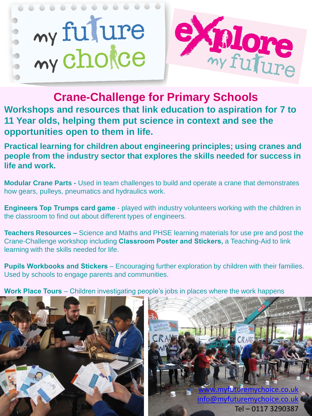

**Crane-Challenge for Primary Schools Workshops and resources that link education to aspiration for 7 to 11 Year olds, helping them put science in context and see the opportunities open to them in life.**

**Practical learning for children about engineering principles; using cranes and people from the industry sector that explores the skills needed for success in life and work.** 

**Modular Crane Parts -** Used in team challenges to build and operate a crane that demonstrates how gears, pulleys, pneumatics and hydraulics work.

**Engineers Top Trumps card game** - played with industry volunteers working with the children in the classroom to find out about different types of engineers.

**Teachers Resources –** Science and Maths and PHSE learning materials for use pre and post the Crane-Challenge workshop including **Classroom Poster and Stickers,** a Teaching-Aid to link learning with the skills needed for life.

**Pupils Workbooks and Stickers** – Encouraging further exploration by children with their families. Used by schools to engage parents and communities.

**Work Place Tours** – Children investigating people's jobs in places where the work happens